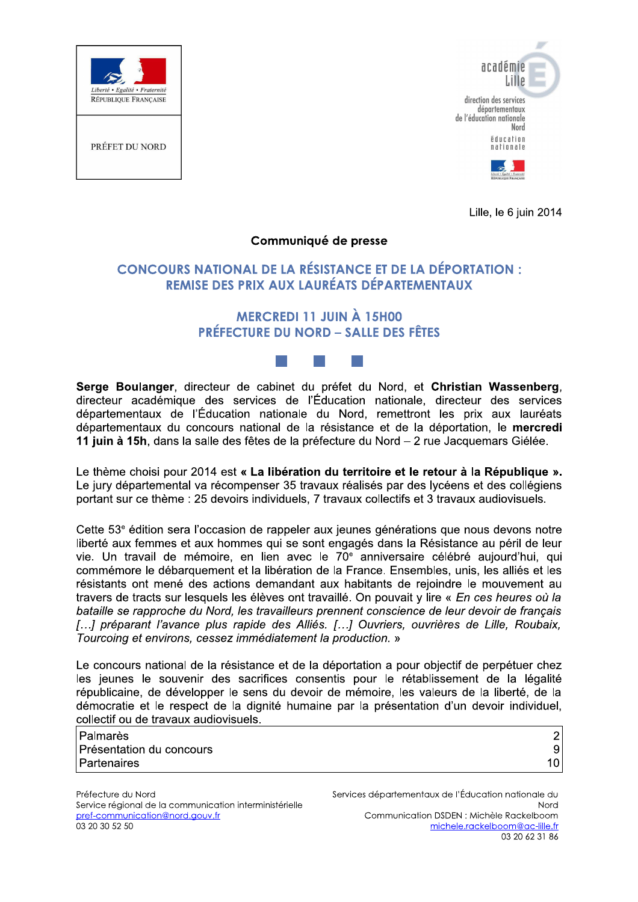



Lille, le 6 juin 2014

#### Communiqué de presse

#### **CONCOURS NATIONAL DE LA RÉSISTANCE ET DE LA DÉPORTATION :** REMISE DES PRIX AUX LAURÉATS DÉPARTEMENTAUX

#### **MERCREDI 11 JUIN À 15H00 PRÉFECTURE DU NORD - SALLE DES FÊTES**

Serge Boulanger, directeur de cabinet du préfet du Nord, et Christian Wassenberg, directeur académique des services de l'Éducation nationale, directeur des services départementaux de l'Éducation nationale du Nord, remettront les prix aux lauréats départementaux du concours national de la résistance et de la déportation, le mercredi 11 juin à 15h, dans la salle des fêtes de la préfecture du Nord - 2 rue Jacquemars Giélée.

Le thème choisi pour 2014 est « La libération du territoire et le retour à la République ». Le jury départemental va récompenser 35 travaux réalisés par des lycéens et des collégiens portant sur ce thème : 25 devoirs individuels, 7 travaux collectifs et 3 travaux audiovisuels.

Cette 53<sup>e</sup> édition sera l'occasion de rappeler aux jeunes générations que nous devons notre liberté aux femmes et aux hommes qui se sont engagés dans la Résistance au péril de leur vie. Un travail de mémoire, en lien avec le 70<sup>e</sup> anniversaire célébré aujourd'hui, qui commémore le débarguement et la libération de la France. Ensembles, unis, les alliés et les résistants ont mené des actions demandant aux habitants de reioindre le mouvement au travers de tracts sur lesquels les élèves ont travaillé. On pouvait y lire « En ces heures où la bataille se rapproche du Nord, les travailleurs prennent conscience de leur devoir de francais [...] préparant l'avance plus rapide des Alliés. [...] Ouvriers, ouvrières de Lille, Roubaix, Tourcoing et environs, cessez immédiatement la production. »

Le concours national de la résistance et de la déportation a pour objectif de perpétuer chez les jeunes le souvenir des sacrifices consentis pour le rétablissement de la légalité républicaine, de développer le sens du devoir de mémoire, les valeurs de la liberté, de la démocratie et le respect de la dignité humaine par la présentation d'un devoir individuel, collectif ou de travaux audiovisuels.

| Palmarès                 |    |
|--------------------------|----|
| Présentation du concours |    |
| Partenaires              | 10 |

Préfecture du Nord Service régional de la communication interministérielle pref-communication@nord.gouv.fr 03 20 30 52 50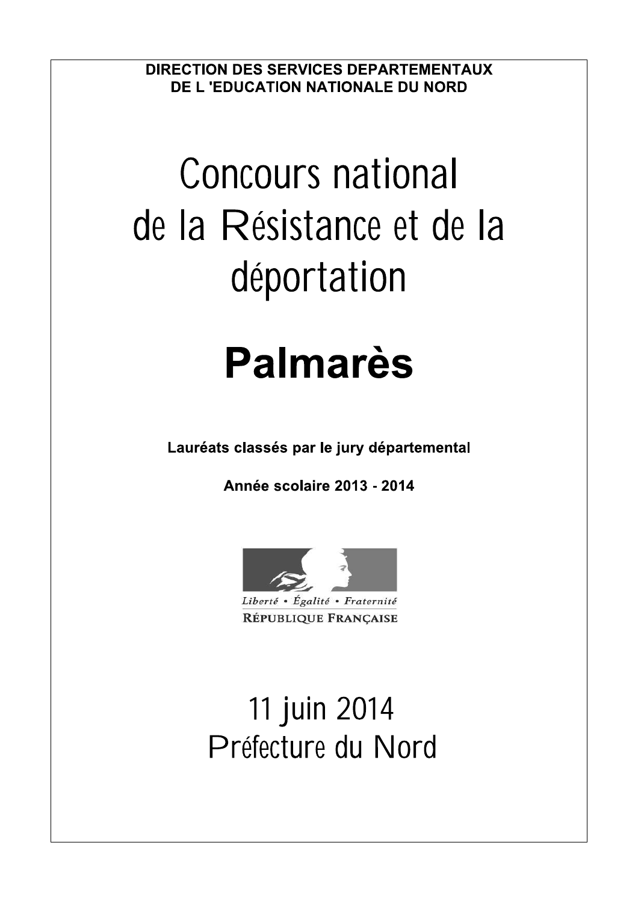**DIRECTION DES SERVICES DEPARTEMENTAUX** DE L 'EDUCATION NATIONALE DU NORD

# **Concours national** de la Résistance et de la déportation

# **Palmarès**

Lauréats classés par le jury départemental

Année scolaire 2013 - 2014



11 juin 2014 Préfecture du Nord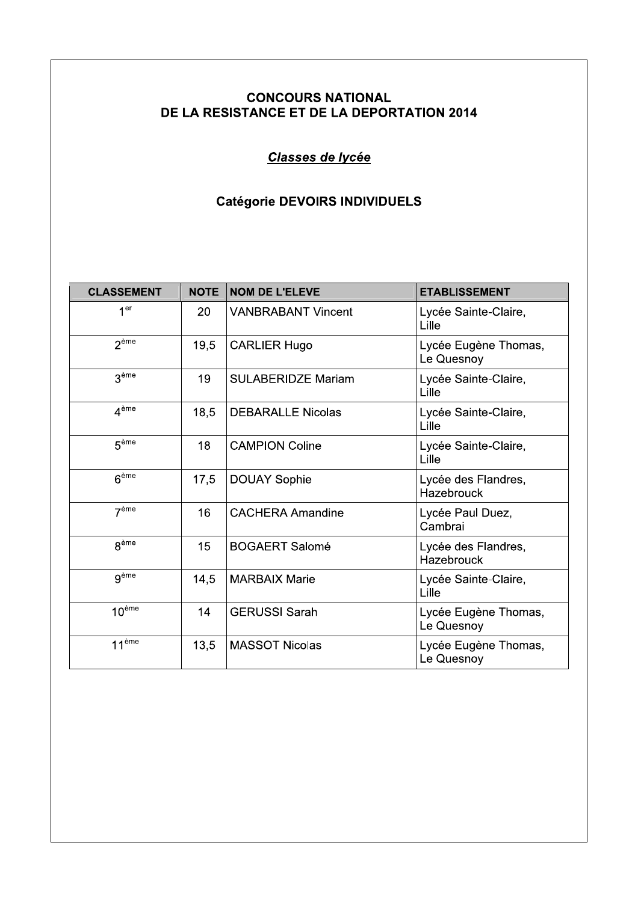Classes de lycée

#### Catégorie DEVOIRS INDIVIDUELS

|                   |             | <b>Catégorie DEVOIRS INDIVIDUELS</b> |                                    |
|-------------------|-------------|--------------------------------------|------------------------------------|
|                   |             |                                      |                                    |
| <b>CLASSEMENT</b> | <b>NOTE</b> | <b>NOM DE L'ELEVE</b>                | <b>ETABLISSEMENT</b>               |
| 1 <sup>er</sup>   | 20          | <b>VANBRABANT Vincent</b>            | Lycée Sainte-Claire,<br>Lille      |
| 2ème              | 19,5        | <b>CARLIER Hugo</b>                  | Lycée Eugène Thomas,<br>Le Quesnoy |
| 3 <sup>ème</sup>  | 19          | <b>SULABERIDZE Mariam</b>            | Lycée Sainte-Claire,<br>Lille      |
| 4 <sup>ème</sup>  | 18,5        | <b>DEBARALLE Nicolas</b>             | Lycée Sainte-Claire,<br>Lille      |
| 5 <sup>ème</sup>  | 18          | <b>CAMPION Coline</b>                | Lycée Sainte-Claire,<br>Lille      |
| 6 <sup>eme</sup>  | 17,5        | <b>DOUAY Sophie</b>                  | Lycée des Flandres,<br>Hazebrouck  |
| 7 <sup>ème</sup>  | 16          | <b>CACHERA Amandine</b>              | Lycée Paul Duez,<br>Cambrai        |
| 8 <sup>ème</sup>  | 15          | <b>BOGAERT Salomé</b>                | Lycée des Flandres,<br>Hazebrouck  |
| gème              | 14,5        | <b>MARBAIX Marie</b>                 | Lycée Sainte-Claire,<br>Lille      |
| 10 <sup>ème</sup> | 14          | <b>GERUSSI Sarah</b>                 | Lycée Eugène Thomas,<br>Le Quesnoy |
| 11 <sup>ème</sup> | 13,5        | <b>MASSOT Nicolas</b>                | Lycée Eugène Thomas,<br>Le Quesnoy |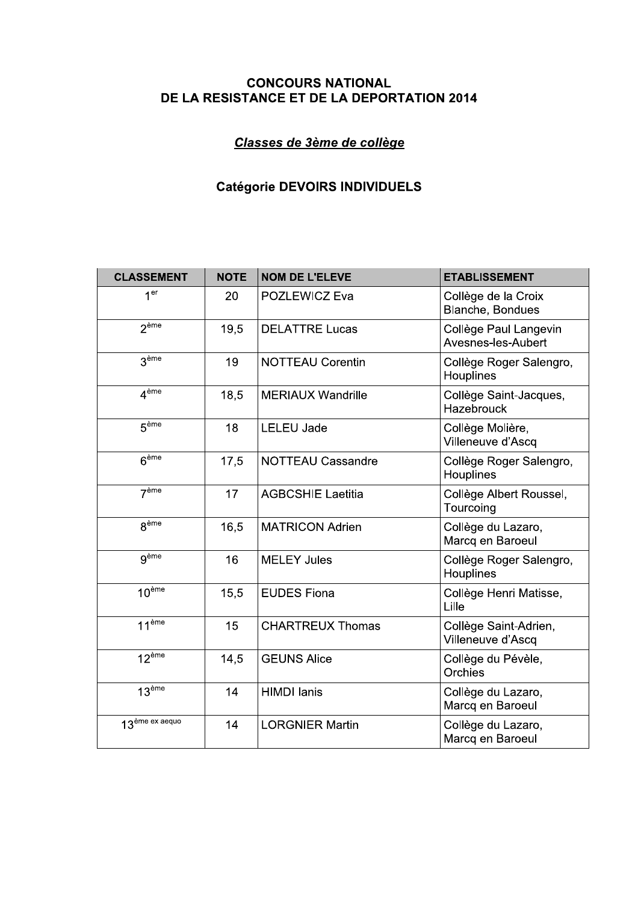## Classes de 3ème de collège

# Catégorie DEVOIRS INDIVIDUELS

| <b>CONCOURS NATIONAL</b><br>DE LA RESISTANCE ET DE LA DEPORTATION 2014 |             |                            |                                             |
|------------------------------------------------------------------------|-------------|----------------------------|---------------------------------------------|
|                                                                        |             | Classes de 3ème de collège |                                             |
| <b>Catégorie DEVOIRS INDIVIDUELS</b>                                   |             |                            |                                             |
| <b>CLASSEMENT</b>                                                      | <b>NOTE</b> | <b>NOM DE L'ELEVE</b>      | <b>ETABLISSEMENT</b>                        |
| 1 <sup>er</sup>                                                        | 20          | POZLEWICZ Eva              | Collège de la Croix<br>Blanche, Bondues     |
| 2 <sup>eme</sup>                                                       | 19,5        | <b>DELATTRE Lucas</b>      | Collège Paul Langevin<br>Avesnes-les-Aubert |
| 3 <sup>eme</sup>                                                       | 19          | <b>NOTTEAU Corentin</b>    | Collège Roger Salengro,<br>Houplines        |
| 4 <sup>ème</sup>                                                       | 18,5        | <b>MERIAUX Wandrille</b>   | Collège Saint-Jacques,<br>Hazebrouck        |
| 5 <sup>eme</sup>                                                       | 18          | <b>LELEU Jade</b>          | Collège Molière,<br>Villeneuve d'Ascq       |
| 6 <sup>ème</sup>                                                       | 17,5        | <b>NOTTEAU Cassandre</b>   | Collège Roger Salengro,<br>Houplines        |
| 7 <sup>eme</sup>                                                       | 17          | <b>AGBCSHIE Laetitia</b>   | Collège Albert Roussel,<br>Tourcoing        |
| 8 <sup>ème</sup>                                                       | 16,5        | <b>MATRICON Adrien</b>     | Collège du Lazaro,<br>Marcq en Baroeul      |
| gème                                                                   | 16          | <b>MELEY Jules</b>         | Collège Roger Salengro,<br>Houplines        |
| $10^{\text{ème}}$                                                      | 15,5        | <b>EUDES Fiona</b>         | Collège Henri Matisse,<br>Lille             |
| $11^{\text{ème}}$                                                      | 15          | <b>CHARTREUX Thomas</b>    | Collège Saint-Adrien,<br>Villeneuve d'Ascq  |
| 12 <sup>ème</sup>                                                      | 14,5        | <b>GEUNS Alice</b>         | Collège du Pévèle,<br>Orchies               |
| 13 <sup>ème</sup>                                                      | 14          | <b>HIMDI</b> lanis         | Collège du Lazaro,<br>Marcq en Baroeul      |
| 13 <sup>ème ex aequo</sup>                                             | 14          | <b>LORGNIER Martin</b>     | Collège du Lazaro,<br>Marcq en Baroeul      |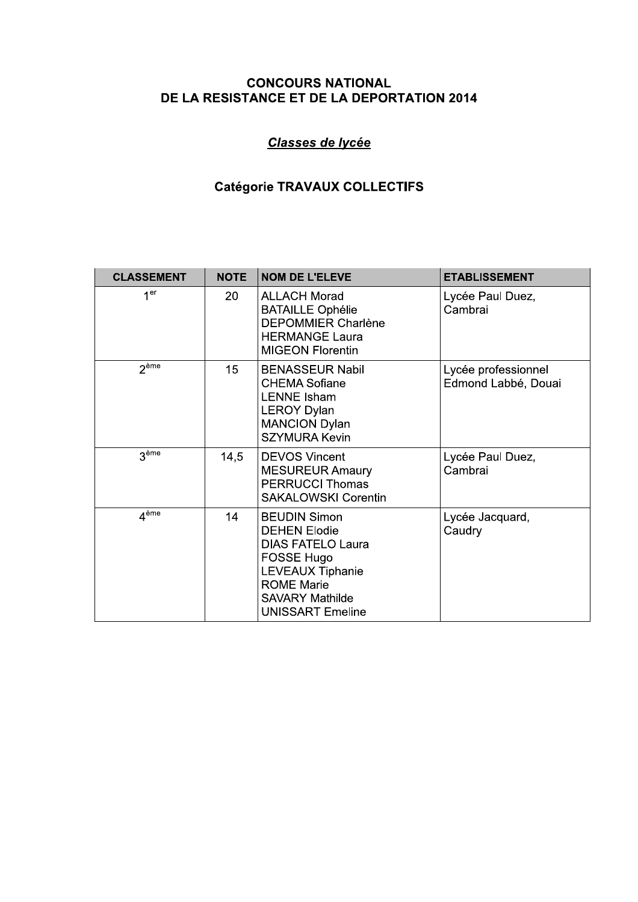## Classes de lycée

# Catégorie TRAVAUX COLLECTIFS

| <b>CLASSEMENT</b> | <b>NOTE</b> | <b>NOM DE L'ELEVE</b>                                                                                                                                                                     | <b>ETABLISSEMENT</b>                       |
|-------------------|-------------|-------------------------------------------------------------------------------------------------------------------------------------------------------------------------------------------|--------------------------------------------|
| 1 <sup>er</sup>   | 20          | <b>ALLACH Morad</b><br><b>BATAILLE Ophélie</b><br><b>DEPOMMIER Charlène</b><br><b>HERMANGE Laura</b><br><b>MIGEON Florentin</b>                                                           | Lycée Paul Duez,<br>Cambrai                |
| 2 <sup>ème</sup>  | 15          | <b>BENASSEUR Nabil</b><br><b>CHEMA Sofiane</b><br><b>LENNE Isham</b><br><b>LEROY Dylan</b><br><b>MANCION Dylan</b><br><b>SZYMURA Kevin</b>                                                | Lycée professionnel<br>Edmond Labbé, Douai |
| 3 <sup>ème</sup>  | 14,5        | <b>DEVOS Vincent</b><br><b>MESUREUR Amaury</b><br><b>PERRUCCI Thomas</b><br><b>SAKALOWSKI Corentin</b>                                                                                    | Lycée Paul Duez,<br>Cambrai                |
| $A^{\text{ème}}$  | 14          | <b>BEUDIN Simon</b><br><b>DEHEN Elodie</b><br><b>DIAS FATELO Laura</b><br>FOSSE Hugo<br><b>LEVEAUX Tiphanie</b><br><b>ROME Marie</b><br><b>SAVARY Mathilde</b><br><b>UNISSART Emeline</b> | Lycée Jacquard,<br>Caudry                  |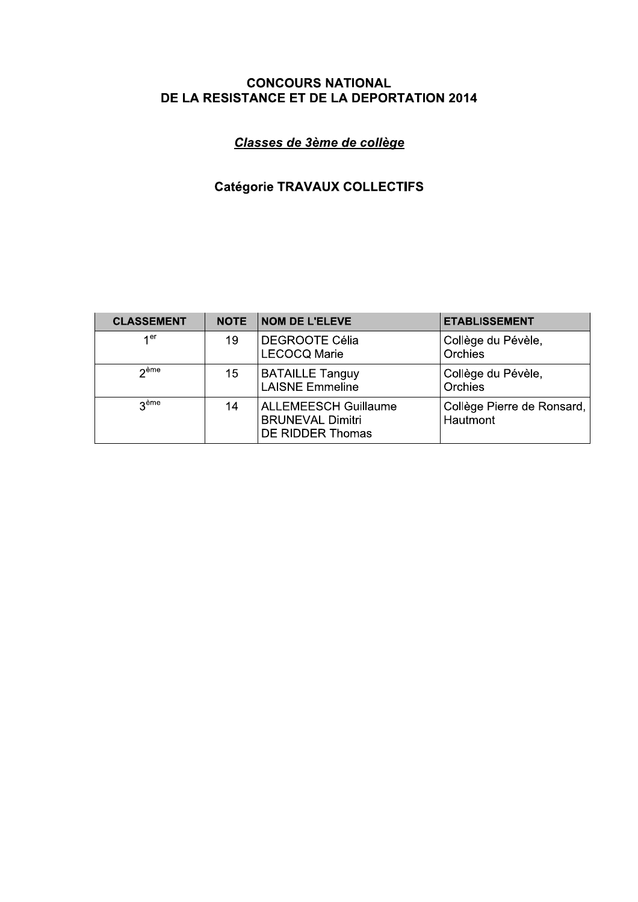## Classes de 3ème de collège

# **Catégorie TRAVAUX COLLECTIFS**

| <b>CLASSEMENT</b>  | <b>NOTE</b> | <b>NOM DE L'ELEVE</b>                                                      | <b>ETABLISSEMENT</b>                   |
|--------------------|-------------|----------------------------------------------------------------------------|----------------------------------------|
| 1 <sup>er</sup>    | 19          | <b>DEGROOTE Célia</b><br><b>LECOCQ Marie</b>                               | Collège du Pévèle,<br>Orchies          |
| $2$ <sup>ème</sup> | 15          | <b>BATAILLE Tanguy</b><br><b>LAISNE Emmeline</b>                           | Collège du Pévèle,<br>Orchies          |
| <b>Reme</b>        | 14          | <b>ALLEMEESCH Guillaume</b><br><b>BRUNEVAL Dimitri</b><br>DE RIDDER Thomas | Collège Pierre de Ronsard,<br>Hautmont |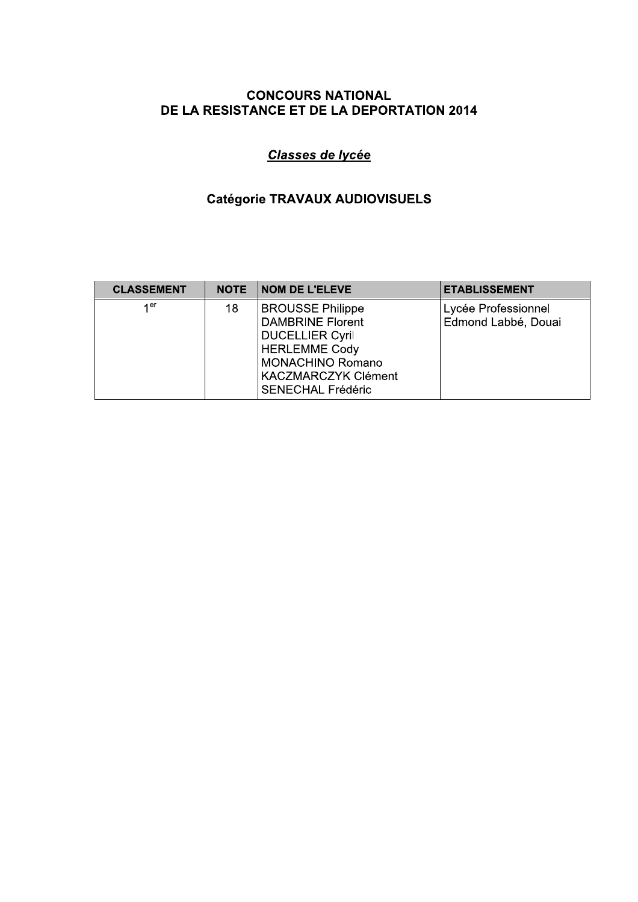# Classes de lycée

## Catégorie TRAVAUX AUDIOVISUELS

| <b>CLASSEMENT</b> | <b>NOTE</b> | <b>NOM DE L'ELEVE</b>                                                                                                                                                                     | <b>ETABLISSEMENT</b>                       |
|-------------------|-------------|-------------------------------------------------------------------------------------------------------------------------------------------------------------------------------------------|--------------------------------------------|
| 1 <sup>er</sup>   | 18          | <b>BROUSSE Philippe</b><br><b>DAMBRINE Florent</b><br><b>DUCELLIER Cyril</b><br><b>HERLEMME Cody</b><br><b>MONACHINO Romano</b><br><b>KACZMARCZYK Clément</b><br><b>SENECHAL Frédéric</b> | Lycée Professionnel<br>Edmond Labbé, Douai |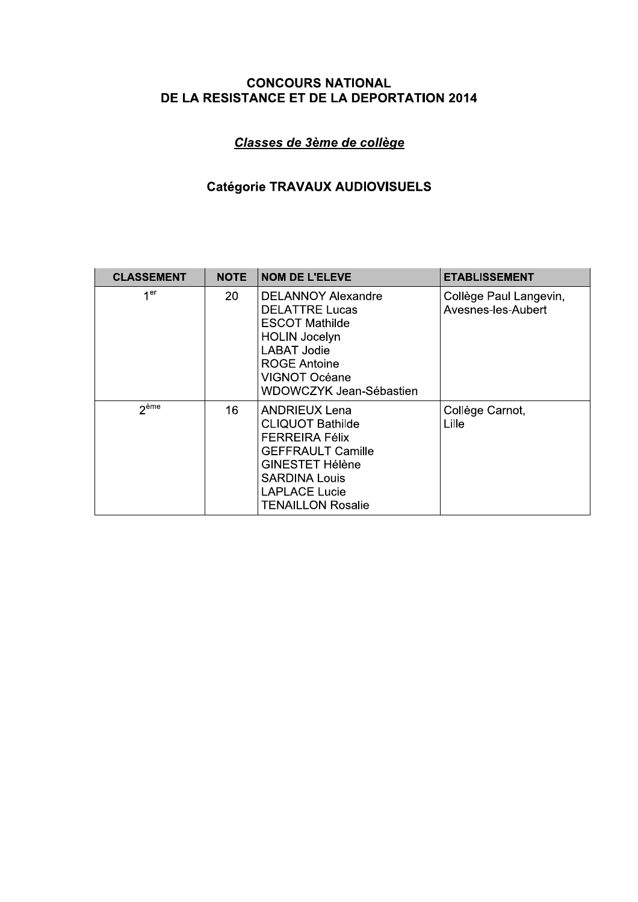## Classes de 3ème de collège

# Catégorie TRAVAUX AUDIOVISUELS

| <b>CLASSEMENT</b> | <b>NOTE</b> | <b>NOM DE L'ELEVE</b>                                                                                                                                                                                      | <b>ETABLISSEMENT</b>                         |
|-------------------|-------------|------------------------------------------------------------------------------------------------------------------------------------------------------------------------------------------------------------|----------------------------------------------|
| 1 <sub>er</sub>   | 20          | <b>DELANNOY Alexandre</b><br><b>DELATTRE Lucas</b><br><b>ESCOT Mathilde</b><br><b>HOLIN Jocelyn</b><br><b>LABAT Jodie</b><br><b>ROGE Antoine</b><br>VIGNOT Océane<br>WDOWCZYK Jean-Sébastien               | Collège Paul Langevin,<br>Avesnes-les-Aubert |
| 2 <sup>eme</sup>  | 16          | <b>ANDRIEUX Lena</b><br><b>CLIQUOT Bathilde</b><br><b>FERREIRA Félix</b><br><b>GEFFRAULT Camille</b><br><b>GINESTET Hélène</b><br><b>SARDINA Louis</b><br><b>LAPLACE Lucie</b><br><b>TENAILLON Rosalie</b> | Collège Carnot,<br>Lille                     |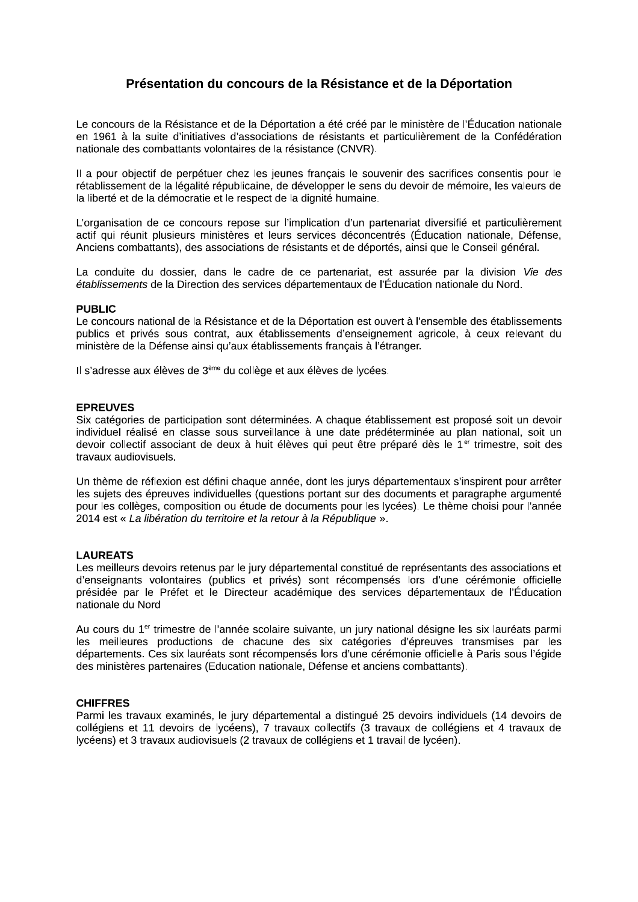#### Présentation du concours de la Résistance et de la Déportation

Le concours de la Résistance et de la Déportation a été créé par le ministère de l'Éducation nationale en 1961 à la suite d'initiatives d'associations de résistants et particulièrement de la Confédération nationale des combattants volontaires de la résistance (CNVR).

Il a pour objectif de perpétuer chez les jeunes français le souvenir des sacrifices consentis pour le rétablissement de la légalité républicaine, de développer le sens du devoir de mémoire, les valeurs de la liberté et de la démocratie et le respect de la dignité humaine.

L'organisation de ce concours repose sur l'implication d'un partenariat diversifié et particulièrement actif qui réunit plusieurs ministères et leurs services déconcentrés (Éducation nationale, Défense, Anciens combattants), des associations de résistants et de déportés, ainsi que le Conseil général.

La conduite du dossier, dans le cadre de ce partenariat, est assurée par la division Vie des établissements de la Direction des services départementaux de l'Éducation nationale du Nord.

#### **PUBLIC**

Le concours national de la Résistance et de la Déportation est ouvert à l'ensemble des établissements publics et privés sous contrat, aux établissements d'enseignement agricole, à ceux relevant du ministère de la Défense ainsi qu'aux établissements français à l'étranger.

Il s'adresse aux élèves de 3<sup>ème</sup> du collège et aux élèves de lycées.

#### **EPREUVES**

Six catégories de participation sont déterminées. A chaque établissement est proposé soit un devoir individuel réalisé en classe sous surveillance à une date prédéterminée au plan national, soit un devoir collectif associant de deux à huit élèves qui peut être préparé dès le 1<sup>er</sup> trimestre, soit des travaux audiovisuels.

Un thème de réflexion est défini chaque année, dont les jurys départementaux s'inspirent pour arrêter les sujets des épreuves individuelles (questions portant sur des documents et paragraphe argumenté pour les collèges, composition ou étude de documents pour les lycées). Le thème choisi pour l'année 2014 est « La libération du territoire et la retour à la République ».

#### **LAUREATS**

Les meilleurs devoirs retenus par le jury départemental constitué de représentants des associations et d'enseignants volontaires (publics et privés) sont récompensés lors d'une cérémonie officielle présidée par le Préfet et le Directeur académique des services départementaux de l'Éducation nationale du Nord

Au cours du 1<sup>er</sup> trimestre de l'année scolaire suivante, un jury national désigne les six lauréats parmi les meilleures productions de chacune des six catégories d'épreuves transmises par les départements. Ces six lauréats sont récompensés lors d'une cérémonie officielle à Paris sous l'égide des ministères partenaires (Education nationale, Défense et anciens combattants).

#### **CHIFFRES**

Parmi les travaux examinés, le jury départemental a distingué 25 devoirs individuels (14 devoirs de collégiens et 11 devoirs de lycéens), 7 travaux collectifs (3 travaux de collégiens et 4 travaux de lycéens) et 3 travaux audiovisuels (2 travaux de collégiens et 1 travail de lycéen).